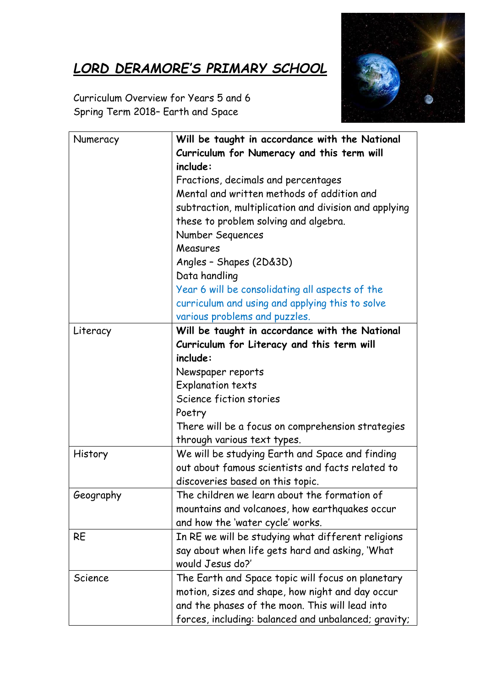## *LORD DERAMORE'S PRIMARY SCHOOL*



Curriculum Overview for Years 5 and 6 Spring Term 2018– Earth and Space

| Numeracy  | Will be taught in accordance with the National        |
|-----------|-------------------------------------------------------|
|           | Curriculum for Numeracy and this term will            |
|           | include:                                              |
|           | Fractions, decimals and percentages                   |
|           | Mental and written methods of addition and            |
|           | subtraction, multiplication and division and applying |
|           | these to problem solving and algebra.                 |
|           | Number Sequences                                      |
|           | Measures                                              |
|           | Angles - Shapes (2D&3D)                               |
|           | Data handling                                         |
|           | Year 6 will be consolidating all aspects of the       |
|           | curriculum and using and applying this to solve       |
|           | various problems and puzzles.                         |
| Literacy  | Will be taught in accordance with the National        |
|           | Curriculum for Literacy and this term will            |
|           | include:                                              |
|           | Newspaper reports                                     |
|           | <b>Explanation texts</b>                              |
|           | Science fiction stories                               |
|           | Poetry                                                |
|           | There will be a focus on comprehension strategies     |
|           | through various text types.                           |
| History   | We will be studying Earth and Space and finding       |
|           | out about famous scientists and facts related to      |
|           | discoveries based on this topic.                      |
| Geography | The children we learn about the formation of          |
|           | mountains and volcanoes, how earthquakes occur        |
|           | and how the 'water cycle' works.                      |
| <b>RE</b> | In RE we will be studying what different religions    |
|           | say about when life gets hard and asking, 'What       |
|           | would Jesus do?'                                      |
| Science   | The Earth and Space topic will focus on planetary     |
|           | motion, sizes and shape, how night and day occur      |
|           | and the phases of the moon. This will lead into       |
|           | forces, including: balanced and unbalanced; gravity;  |